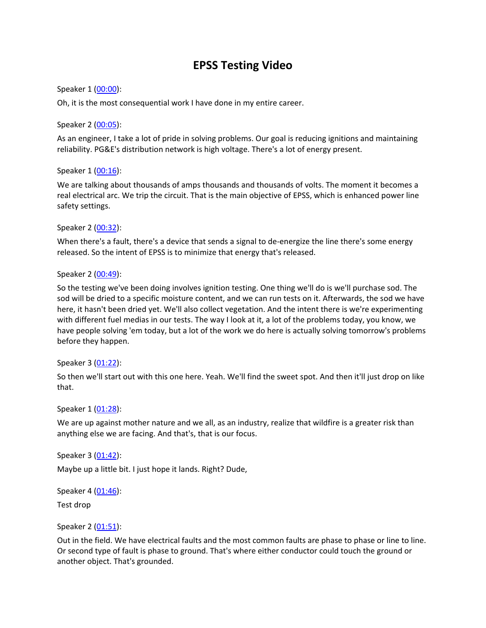# **EPSS Testing Video**

## Speaker 1 [\(00:00\)](https://www.rev.com/transcript-editor/Edit?token=rtcDsvYFLf-1LpulFbSQ6mfGb-4_6d7y-E7V4PZzN__1j5-IVdvajCEq1uv9g-kK8LQyo0dBzZ897Bn-BC_0BR-BRu4&loadFrom=DocumentDeeplink&ts=0.94):

Oh, it is the most consequential work I have done in my entire career.

### Speaker 2 [\(00:05\)](https://www.rev.com/transcript-editor/Edit?token=raTY8Km7SzNNoGaU9WNi3MNBC2WXGE1t3vQWFzAYtvqrrOdnc0jKy-OXv5U7dbGpbC7j7C9oUqvCXDskO4OiDsqycZE&loadFrom=DocumentDeeplink&ts=5.36):

As an engineer, I take a lot of pride in solving problems. Our goal is reducing ignitions and maintaining reliability. PG&E's distribution network is high voltage. There's a lot of energy present.

### Speaker 1 [\(00:16\)](https://www.rev.com/transcript-editor/Edit?token=6Js0aAlcB_5qQzXSLJFjFH0WfJChX1vU88dZnEoUKxfgpM_cdFVDt50asQRA0Znr7Gp0TBInK-Sfb69ayJf4mO-fjkM&loadFrom=DocumentDeeplink&ts=16.64):

We are talking about thousands of amps thousands and thousands of volts. The moment it becomes a real electrical arc. We trip the circuit. That is the main objective of EPSS, which is enhanced power line safety settings.

### Speaker 2 [\(00:32\)](https://www.rev.com/transcript-editor/Edit?token=HoMYk_jj-O7cotcfDF3Ia2jFmG9L39-hQ1o3Vlc8WKB-SNN0aaf76BNxVCydbHiw0o_oU8Uz9gEn8vWABX46v4x-Rd8&loadFrom=DocumentDeeplink&ts=32.12):

When there's a fault, there's a device that sends a signal to de-energize the line there's some energy released. So the intent of EPSS is to minimize that energy that's released.

### Speaker 2 [\(00:49\)](https://www.rev.com/transcript-editor/Edit?token=ZwN_gKFzDZjf89yOafsEE6_lBxAVC8ZcXOLKwSgsDRkIljBMteZ5AMhYxwWlm6G_PvrxW3FbkvmMKqBPEJnI2rqawV4&loadFrom=DocumentDeeplink&ts=49.979):

So the testing we've been doing involves ignition testing. One thing we'll do is we'll purchase sod. The sod will be dried to a specific moisture content, and we can run tests on it. Afterwards, the sod we have here, it hasn't been dried yet. We'll also collect vegetation. And the intent there is we're experimenting with different fuel medias in our tests. The way I look at it, a lot of the problems today, you know, we have people solving 'em today, but a lot of the work we do here is actually solving tomorrow's problems before they happen.

#### Speaker 3 [\(01:22\)](https://www.rev.com/transcript-editor/Edit?token=Gnbyw7weFOCgpf8CIFhAIj1bq-lU8UD0UYOj2gzSwPlWEd4eq1l1zUP5pBkkdZzxRgKx9VbyPCEmH2CuYaqxaUAI9sY&loadFrom=DocumentDeeplink&ts=82.4):

So then we'll start out with this one here. Yeah. We'll find the sweet spot. And then it'll just drop on like that.

#### Speaker 1 [\(01:28\)](https://www.rev.com/transcript-editor/Edit?token=W1RdCsopvPVvTl_R8l8sDjv3CEktccD2Y-JU3oLhkp4IjCDBvB2Qcli-el6FvLB1V_yR05QAFlVAroxb0n6asZP3uj0&loadFrom=DocumentDeeplink&ts=88.4):

We are up against mother nature and we all, as an industry, realize that wildfire is a greater risk than anything else we are facing. And that's, that is our focus.

Speaker 3 [\(01:42\)](https://www.rev.com/transcript-editor/Edit?token=LwPU7o2JIC5ZJwHIr-Ift9ekOUsWMwJL9lvWLo6DBfBLciJGXlgX-sFdFpanKVLqnSskUsb7V_jot9LFvvhuIxWz21w&loadFrom=DocumentDeeplink&ts=102.319):

Maybe up a little bit. I just hope it lands. Right? Dude,

Speaker 4 [\(01:46\)](https://www.rev.com/transcript-editor/Edit?token=zGvGIA5rhxAcJf4Gm9Wji9K6FHNZMHlv0fCA5txPO-39WB-NiNr7Kg9UZcSSXSHom8rIeeRdWgxDvzvZJWyf0T89SOo&loadFrom=DocumentDeeplink&ts=106.97):

Test drop

## Speaker 2 [\(01:51\)](https://www.rev.com/transcript-editor/Edit?token=dPpTXHpUuyXOZnmdyvdJO3sxCFrzolzudHeFXrJ_4SBMmq-g2KIwIwRbzFAu1Bbxb5Nr6PvMz3TFAhCMpgU7NPPG3yg&loadFrom=DocumentDeeplink&ts=111.09):

Out in the field. We have electrical faults and the most common faults are phase to phase or line to line. Or second type of fault is phase to ground. That's where either conductor could touch the ground or another object. That's grounded.